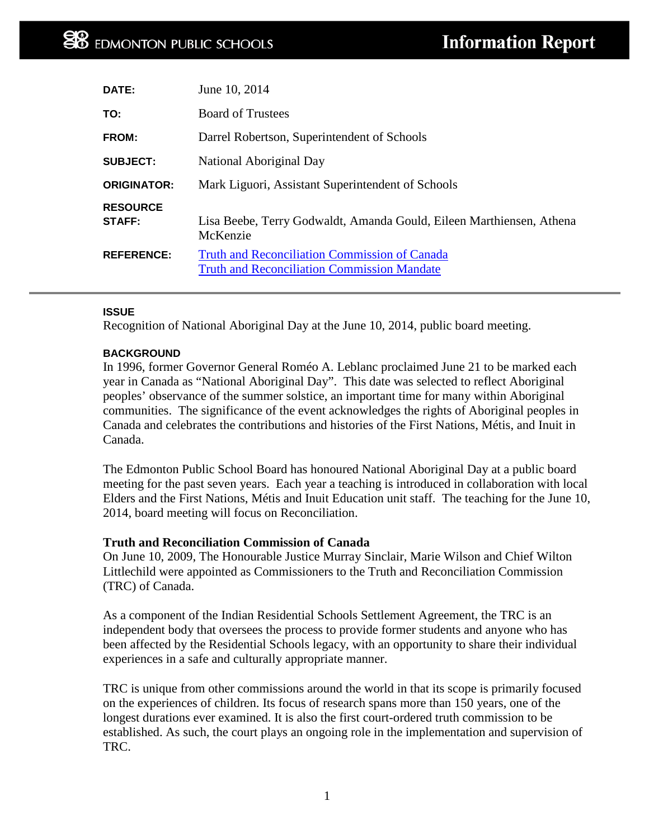| DATE:                            | June 10, 2014                                                                                              |
|----------------------------------|------------------------------------------------------------------------------------------------------------|
| TO:                              | <b>Board of Trustees</b>                                                                                   |
| FROM:                            | Darrel Robertson, Superintendent of Schools                                                                |
| <b>SUBJECT:</b>                  | National Aboriginal Day                                                                                    |
| <b>ORIGINATOR:</b>               | Mark Liguori, Assistant Superintendent of Schools                                                          |
| <b>RESOURCE</b><br><b>STAFF:</b> | Lisa Beebe, Terry Godwaldt, Amanda Gould, Eileen Marthiensen, Athena<br>McKenzie                           |
| <b>REFERENCE:</b>                | <b>Truth and Reconciliation Commission of Canada</b><br><b>Truth and Reconciliation Commission Mandate</b> |

# **ISSUE**

Recognition of National Aboriginal Day at the June 10, 2014, public board meeting.

# **BACKGROUND**

In 1996, former Governor General Roméo A. Leblanc proclaimed June 21 to be marked each year in Canada as "National Aboriginal Day". This date was selected to reflect Aboriginal peoples' observance of the summer solstice, an important time for many within Aboriginal communities. The significance of the event acknowledges the rights of Aboriginal peoples in Canada and celebrates the contributions and histories of the First Nations, Métis, and Inuit in Canada.

The Edmonton Public School Board has honoured National Aboriginal Day at a public board meeting for the past seven years. Each year a teaching is introduced in collaboration with local Elders and the First Nations, Métis and Inuit Education unit staff. The teaching for the June 10, 2014, board meeting will focus on Reconciliation.

# **Truth and Reconciliation Commission of Canada**

On June 10, 2009, The Honourable Justice Murray Sinclair, Marie Wilson and Chief Wilton Littlechild were appointed as Commissioners to the Truth and Reconciliation Commission (TRC) of Canada.

As a component of the Indian Residential Schools Settlement Agreement, the TRC is an independent body that oversees the process to provide former students and anyone who has been affected by the Residential Schools legacy, with an opportunity to share their individual experiences in a safe and culturally appropriate manner.

TRC is unique from other commissions around the world in that its scope is primarily focused on the experiences of children. Its focus of research spans more than 150 years, one of the longest durations ever examined. It is also the first court-ordered truth commission to be established. As such, the court plays an ongoing role in the implementation and supervision of TRC.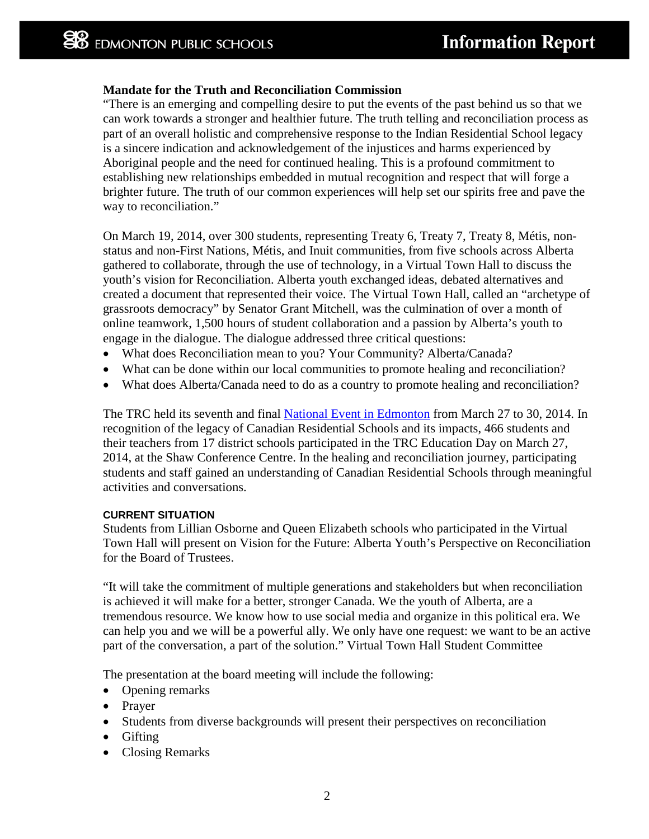# **Mandate for the Truth and Reconciliation Commission**

"There is an emerging and compelling desire to put the events of the past behind us so that we can work towards a stronger and healthier future. The truth telling and reconciliation process as part of an overall holistic and comprehensive response to the Indian Residential School legacy is a sincere indication and acknowledgement of the injustices and harms experienced by Aboriginal people and the need for continued healing. This is a profound commitment to establishing new relationships embedded in mutual recognition and respect that will forge a brighter future. The truth of our common experiences will help set our spirits free and pave the way to reconciliation."

On March 19, 2014, over 300 students, representing Treaty 6, Treaty 7, Treaty 8, Métis, nonstatus and non-First Nations, Métis, and Inuit communities, from five schools across Alberta gathered to collaborate, through the use of technology, in a Virtual Town Hall to discuss the youth's vision for Reconciliation. Alberta youth exchanged ideas, debated alternatives and created a document that represented their voice. The Virtual Town Hall, called an "archetype of grassroots democracy" by Senator Grant Mitchell, was the culmination of over a month of online teamwork, 1,500 hours of student collaboration and a passion by Alberta's youth to engage in the dialogue. The dialogue addressed three critical questions:

- What does Reconciliation mean to you? Your Community? Alberta/Canada?
- What can be done within our local communities to promote healing and reconciliation?
- What does Alberta/Canada need to do as a country to promote healing and reconciliation?

The TRC held its seventh and final [National Event in Edmonton](http://www.myrobust.com/websites/alberta/File/TRC-074.04%20ABNE%20program-final-noHW.pdf) from March 27 to 30, 2014. In recognition of the legacy of Canadian Residential Schools and its impacts, 466 students and their teachers from 17 district schools participated in the TRC Education Day on March 27, 2014, at the Shaw Conference Centre. In the healing and reconciliation journey, participating students and staff gained an understanding of Canadian Residential Schools through meaningful activities and conversations.

# **CURRENT SITUATION**

Students from Lillian Osborne and Queen Elizabeth schools who participated in the Virtual Town Hall will present on Vision for the Future: Alberta Youth's Perspective on Reconciliation for the Board of Trustees.

"It will take the commitment of multiple generations and stakeholders but when reconciliation is achieved it will make for a better, stronger Canada. We the youth of Alberta, are a tremendous resource. We know how to use social media and organize in this political era. We can help you and we will be a powerful ally. We only have one request: we want to be an active part of the conversation, a part of the solution." Virtual Town Hall Student Committee

The presentation at the board meeting will include the following:

- Opening remarks
- Prayer
- Students from diverse backgrounds will present their perspectives on reconciliation
- Gifting
- Closing Remarks